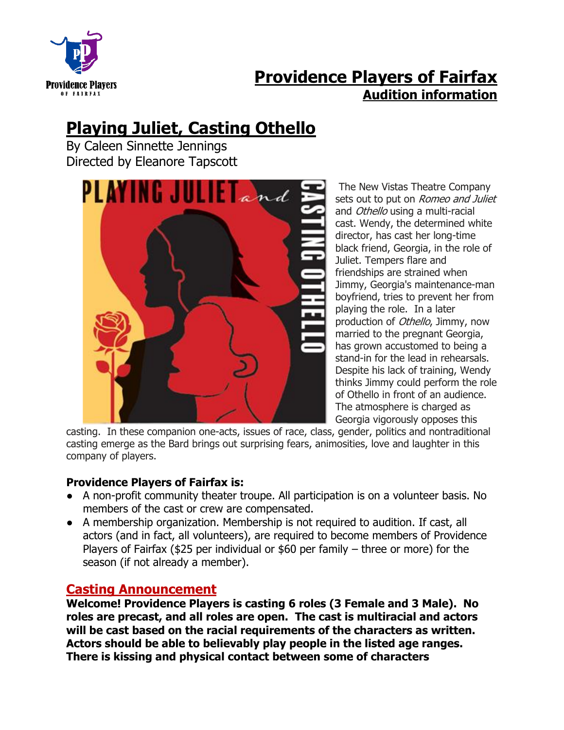

## **Providence Players of Fairfax Audition information**

# **Playing Juliet, Casting Othello**

By Caleen Sinnette Jennings Directed by Eleanore Tapscott



The New Vistas Theatre Company sets out to put on *Romeo and Juliet* and Othello using a multi-racial cast. Wendy, the determined white director, has cast her long-time black friend, Georgia, in the role of Juliet. Tempers flare and friendships are strained when Jimmy, Georgia's maintenance-man boyfriend, tries to prevent her from playing the role. In a later production of *Othello*, Jimmy, now married to the pregnant Georgia, has grown accustomed to being a stand-in for the lead in rehearsals. Despite his lack of training, Wendy thinks Jimmy could perform the role of Othello in front of an audience. The atmosphere is charged as Georgia vigorously opposes this

casting. In these companion one-acts, issues of race, class, gender, politics and nontraditional casting emerge as the Bard brings out surprising fears, animosities, love and laughter in this company of players.

#### **Providence Players of Fairfax is:**

- A non-profit community theater troupe. All participation is on a volunteer basis. No members of the cast or crew are compensated.
- A membership organization. Membership is not required to audition. If cast, all actors (and in fact, all volunteers), are required to become members of Providence Players of Fairfax (\$25 per individual or \$60 per family – three or more) for the season (if not already a member).

### **Casting Announcement**

**Welcome! Providence Players is casting 6 roles (3 Female and 3 Male). No roles are precast, and all roles are open. The cast is multiracial and actors will be cast based on the racial requirements of the characters as written. Actors should be able to believably play people in the listed age ranges. There is kissing and physical contact between some of characters**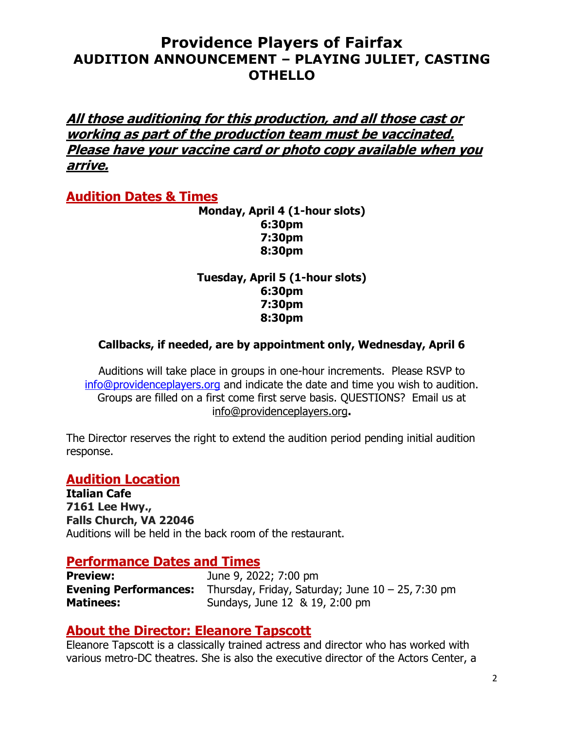**All those auditioning for this production, and all those cast or working as part of the production team must be vaccinated. Please have your vaccine card or photo copy available when you arrive.** 

### **Audition Dates & Times**

**Monday, April 4 (1-hour slots) 6:30pm 7:30pm 8:30pm**

**Tuesday, April 5 (1-hour slots) 6:30pm 7:30pm 8:30pm**

#### **Callbacks, if needed, are by appointment only, Wednesday, April 6**

Auditions will take place in groups in one-hour increments. Please RSVP to [info@providenceplayers.org](mailto:info@providenceplayers.org) and indicate the date and time you wish to audition. Groups are filled on a first come first serve basis. QUESTIONS? Email us at [info@providenceplayers.org](mailto:info@providenceplayers.org)**.**

The Director reserves the right to extend the audition period pending initial audition response.

#### **Audition Location**

**Italian Cafe 7161 Lee Hwy., Falls Church, VA 22046** Auditions will be held in the back room of the restaurant.

#### **Performance Dates and Times**

**Preview:** June 9, 2022; 7:00 pm **Evening Performances:** Thursday, Friday, Saturday; June 10 – 25, 7:30 pm **Matinees:** Sundays, June 12 & 19, 2:00 pm

#### **About the Director: Eleanore Tapscott**

Eleanore Tapscott is a classically trained actress and director who has worked with various metro-DC theatres. She is also the executive director of the Actors Center, a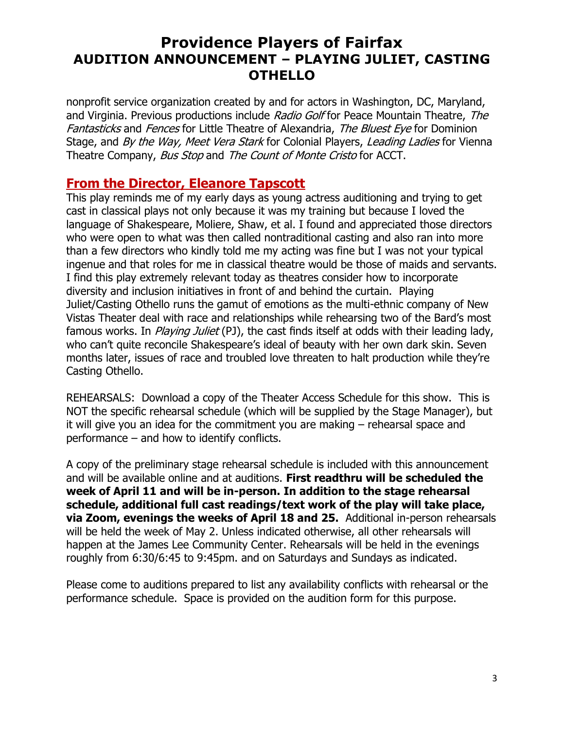nonprofit service organization created by and for actors in Washington, DC, Maryland, and Virginia. Previous productions include Radio Golf for Peace Mountain Theatre, The Fantasticks and Fences for Little Theatre of Alexandria, The Bluest Eve for Dominion Stage, and By the Way, Meet Vera Stark for Colonial Players, Leading Ladies for Vienna Theatre Company, Bus Stop and The Count of Monte Cristo for ACCT.

### **From the Director, Eleanore Tapscott**

This play reminds me of my early days as young actress auditioning and trying to get cast in classical plays not only because it was my training but because I loved the language of Shakespeare, Moliere, Shaw, et al. I found and appreciated those directors who were open to what was then called nontraditional casting and also ran into more than a few directors who kindly told me my acting was fine but I was not your typical ingenue and that roles for me in classical theatre would be those of maids and servants. I find this play extremely relevant today as theatres consider how to incorporate diversity and inclusion initiatives in front of and behind the curtain. Playing Juliet/Casting Othello runs the gamut of emotions as the multi-ethnic company of New Vistas Theater deal with race and relationships while rehearsing two of the Bard's most famous works. In *Playing Juliet* (PJ), the cast finds itself at odds with their leading lady, who can't quite reconcile Shakespeare's ideal of beauty with her own dark skin. Seven months later, issues of race and troubled love threaten to halt production while they're Casting Othello.

REHEARSALS: Download a copy of the Theater Access Schedule for this show. This is NOT the specific rehearsal schedule (which will be supplied by the Stage Manager), but it will give you an idea for the commitment you are making – rehearsal space and performance – and how to identify conflicts.

A copy of the preliminary stage rehearsal schedule is included with this announcement and will be available online and at auditions. **First readthru will be scheduled the week of April 11 and will be in-person. In addition to the stage rehearsal schedule, additional full cast readings/text work of the play will take place, via Zoom, evenings the weeks of April 18 and 25.** Additional in-person rehearsals will be held the week of May 2. Unless indicated otherwise, all other rehearsals will happen at the James Lee Community Center. Rehearsals will be held in the evenings roughly from 6:30/6:45 to 9:45pm. and on Saturdays and Sundays as indicated.

Please come to auditions prepared to list any availability conflicts with rehearsal or the performance schedule. Space is provided on the audition form for this purpose.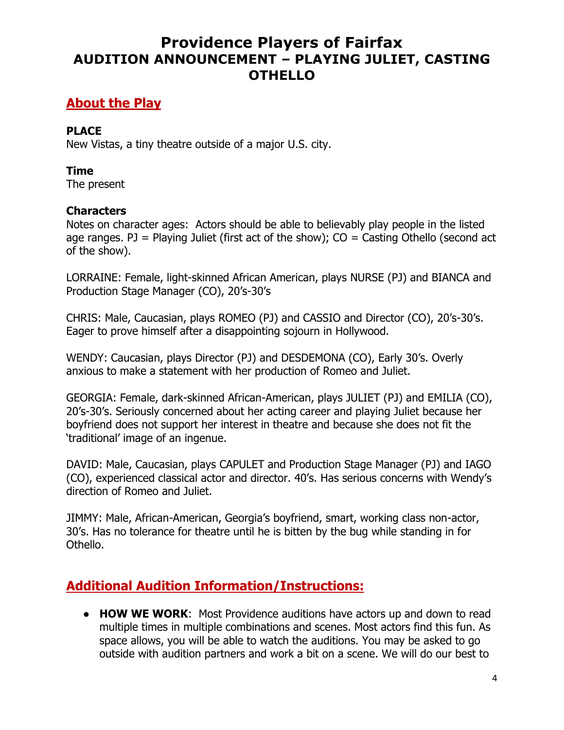### **About the Play**

#### **PLACE**

New Vistas, a tiny theatre outside of a major U.S. city.

#### **Time**

The present

### **Characters**

Notes on character ages: Actors should be able to believably play people in the listed age ranges. PJ = Playing Juliet (first act of the show);  $CO =$  Casting Othello (second act of the show).

LORRAINE: Female, light-skinned African American, plays NURSE (PJ) and BIANCA and Production Stage Manager (CO), 20's-30's

CHRIS: Male, Caucasian, plays ROMEO (PJ) and CASSIO and Director (CO), 20's-30's. Eager to prove himself after a disappointing sojourn in Hollywood.

WENDY: Caucasian, plays Director (PJ) and DESDEMONA (CO), Early 30's. Overly anxious to make a statement with her production of Romeo and Juliet.

GEORGIA: Female, dark-skinned African-American, plays JULIET (PJ) and EMILIA (CO), 20's-30's. Seriously concerned about her acting career and playing Juliet because her boyfriend does not support her interest in theatre and because she does not fit the 'traditional' image of an ingenue.

DAVID: Male, Caucasian, plays CAPULET and Production Stage Manager (PJ) and IAGO (CO), experienced classical actor and director. 40's. Has serious concerns with Wendy's direction of Romeo and Juliet.

JIMMY: Male, African-American, Georgia's boyfriend, smart, working class non-actor, 30's. Has no tolerance for theatre until he is bitten by the bug while standing in for Othello.

### **Additional Audition Information/Instructions:**

● **HOW WE WORK**: Most Providence auditions have actors up and down to read multiple times in multiple combinations and scenes. Most actors find this fun. As space allows, you will be able to watch the auditions. You may be asked to go outside with audition partners and work a bit on a scene. We will do our best to